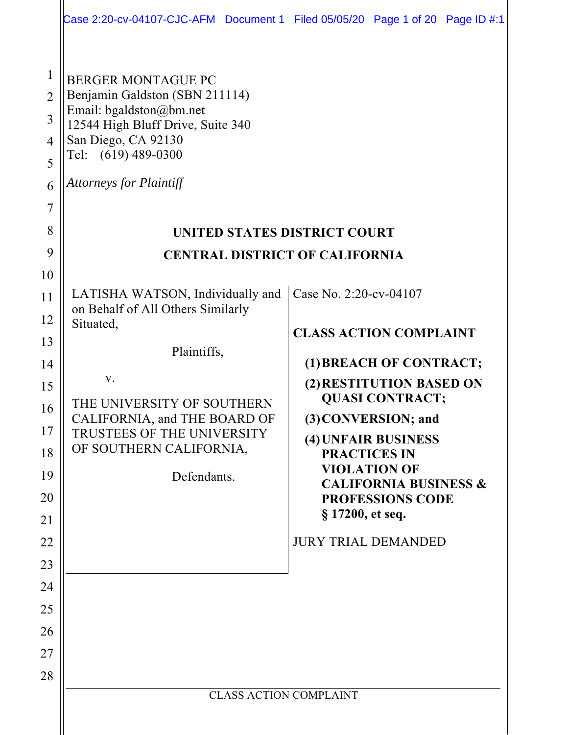|                                                                                | Case 2:20-cv-04107-CJC-AFM Document 1 Filed 05/05/20 Page 1 of 20 Page ID #:1                                                                                                                                                                      |                                                                                                                                  |                                                                                                                                                                                                                   |  |  |  |  |
|--------------------------------------------------------------------------------|----------------------------------------------------------------------------------------------------------------------------------------------------------------------------------------------------------------------------------------------------|----------------------------------------------------------------------------------------------------------------------------------|-------------------------------------------------------------------------------------------------------------------------------------------------------------------------------------------------------------------|--|--|--|--|
| $\mathbf{1}$<br>$\overline{2}$<br>3<br>4<br>5<br>6<br>$\overline{7}$<br>8<br>9 | <b>BERGER MONTAGUE PC</b><br>Benjamin Galdston (SBN 211114)<br>Email: bgaldston@bm.net<br>12544 High Bluff Drive, Suite 340<br>San Diego, CA 92130<br>Tel: (619) 489-0300<br><b>Attorneys for Plaintiff</b><br><b>UNITED STATES DISTRICT COURT</b> |                                                                                                                                  |                                                                                                                                                                                                                   |  |  |  |  |
| 10                                                                             |                                                                                                                                                                                                                                                    | <b>CENTRAL DISTRICT OF CALIFORNIA</b>                                                                                            |                                                                                                                                                                                                                   |  |  |  |  |
| 11<br>12<br>13<br>14<br>15<br>16<br>17<br>18<br>19<br>20<br>21<br>22<br>23     | LATISHA WATSON, Individually and<br>on Behalf of All Others Similarly<br>Situated,<br>Plaintiffs,<br>V.<br>THE UNIVERSITY OF SOUTHERN<br>CALIFORNIA, and THE BOARD OF<br>TRUSTEES OF THE UNIVERSITY<br>OF SOUTHERN CALIFORNIA,<br>Defendants.      | Case No. 2:20-cv-04107<br><b>CLASS ACTION COMPLAINT</b><br><b>PRACTICES IN</b><br>§ 17200, et seq.<br><b>JURY TRIAL DEMANDED</b> | (1) BREACH OF CONTRACT;<br>(2) RESTITUTION BASED ON<br><b>QUASI CONTRACT;</b><br>(3) CONVERSION; and<br>(4) UNFAIR BUSINESS<br><b>VIOLATION OF</b><br><b>CALIFORNIA BUSINESS &amp;</b><br><b>PROFESSIONS CODE</b> |  |  |  |  |
| 24<br>25<br>26<br>27<br>28                                                     | <b>CLASS ACTION COMPLAINT</b>                                                                                                                                                                                                                      |                                                                                                                                  |                                                                                                                                                                                                                   |  |  |  |  |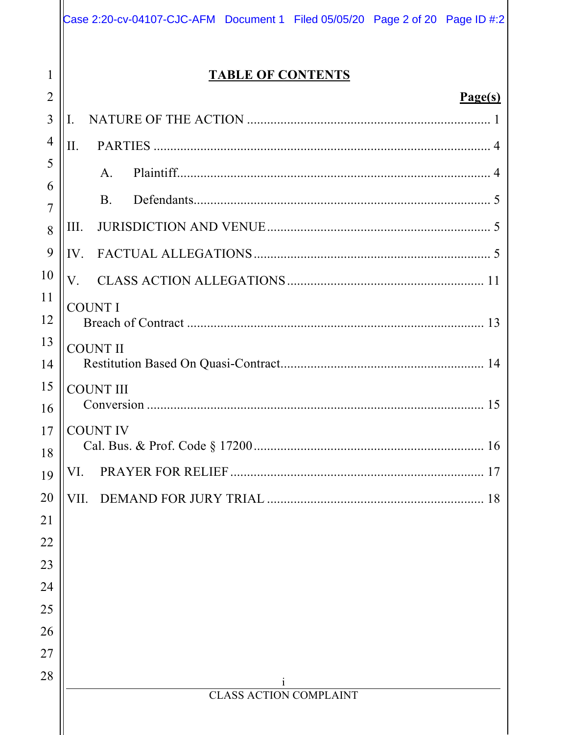|                     | Case 2:20-cv-04107-CJC-AFM Document 1 Filed 05/05/20 Page 2 of 20 Page ID #:2 |  |  |  |  |  |
|---------------------|-------------------------------------------------------------------------------|--|--|--|--|--|
| 1<br>$\overline{2}$ | <b>TABLE OF CONTENTS</b>                                                      |  |  |  |  |  |
| 3                   | Page(s)<br>I.                                                                 |  |  |  |  |  |
| $\overline{4}$      |                                                                               |  |  |  |  |  |
| 5                   | II.                                                                           |  |  |  |  |  |
| 6                   | $\mathsf{A}$ .                                                                |  |  |  |  |  |
| $\overline{7}$      | <b>B.</b>                                                                     |  |  |  |  |  |
| 8                   | III.                                                                          |  |  |  |  |  |
| 9                   | IV.                                                                           |  |  |  |  |  |
| 10                  | $V_{\cdot}$                                                                   |  |  |  |  |  |
| 11<br>12            | <b>COUNT I</b>                                                                |  |  |  |  |  |
| 13<br>14            | <b>COUNT II</b>                                                               |  |  |  |  |  |
| 15<br>16            | <b>COUNT III</b>                                                              |  |  |  |  |  |
| 17<br>18            | <b>COUNT IV</b>                                                               |  |  |  |  |  |
| 19                  | VI.                                                                           |  |  |  |  |  |
| 20                  | VII.                                                                          |  |  |  |  |  |
| 21                  |                                                                               |  |  |  |  |  |
| 22                  |                                                                               |  |  |  |  |  |
| 23                  |                                                                               |  |  |  |  |  |
| 24                  |                                                                               |  |  |  |  |  |
| 25                  |                                                                               |  |  |  |  |  |
| 26                  |                                                                               |  |  |  |  |  |
| 27<br>28            |                                                                               |  |  |  |  |  |
|                     | <b>CLASS ACTION COMPLAINT</b>                                                 |  |  |  |  |  |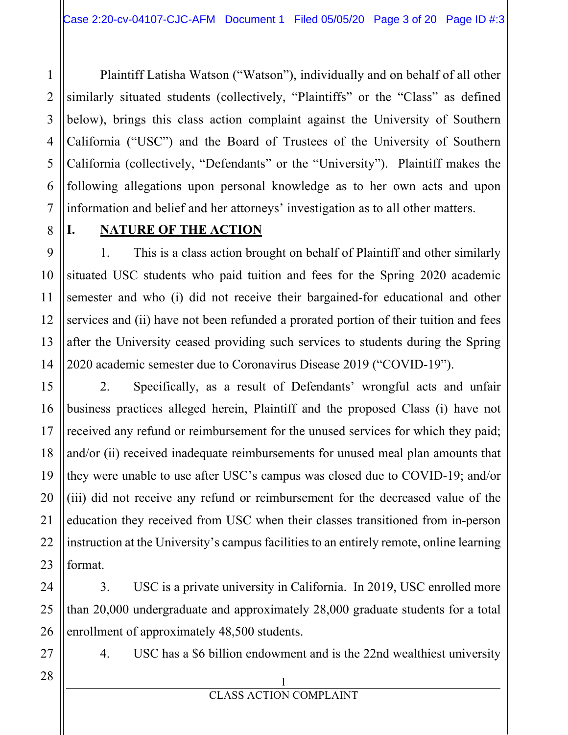Plaintiff Latisha Watson ("Watson"), individually and on behalf of all other similarly situated students (collectively, "Plaintiffs" or the "Class" as defined below), brings this class action complaint against the University of Southern California ("USC") and the Board of Trustees of the University of Southern California (collectively, "Defendants" or the "University"). Plaintiff makes the following allegations upon personal knowledge as to her own acts and upon information and belief and her attorneys' investigation as to all other matters.

8

1

2

3

4

5

6

7

9

10

11

# **I. NATURE OF THE ACTION**

1. This is a class action brought on behalf of Plaintiff and other similarly situated USC students who paid tuition and fees for the Spring 2020 academic semester and who (i) did not receive their bargained-for educational and other services and (ii) have not been refunded a prorated portion of their tuition and fees after the University ceased providing such services to students during the Spring 2020 academic semester due to Coronavirus Disease 2019 ("COVID-19").

2. Specifically, as a result of Defendants' wrongful acts and unfair business practices alleged herein, Plaintiff and the proposed Class (i) have not received any refund or reimbursement for the unused services for which they paid; and/or (ii) received inadequate reimbursements for unused meal plan amounts that they were unable to use after USC's campus was closed due to COVID-19; and/or (iii) did not receive any refund or reimbursement for the decreased value of the education they received from USC when their classes transitioned from in-person instruction at the University's campus facilities to an entirely remote, online learning format.

3. USC is a private university in California. In 2019, USC enrolled more than 20,000 undergraduate and approximately 28,000 graduate students for a total enrollment of approximately 48,500 students.

4. USC has a \$6 billion endowment and is the 22nd wealthiest university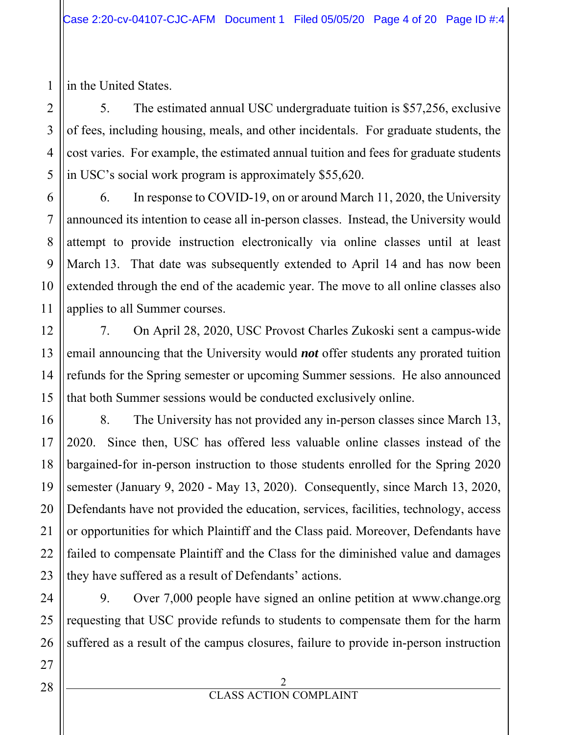in the United States.

1

2

3

4

5

5. The estimated annual USC undergraduate tuition is \$57,256, exclusive of fees, including housing, meals, and other incidentals. For graduate students, the cost varies. For example, the estimated annual tuition and fees for graduate students in USC's social work program is approximately \$55,620.

6. In response to COVID-19, on or around March 11, 2020, the University announced its intention to cease all in-person classes. Instead, the University would attempt to provide instruction electronically via online classes until at least March 13. That date was subsequently extended to April 14 and has now been extended through the end of the academic year. The move to all online classes also applies to all Summer courses.

7. On April 28, 2020, USC Provost Charles Zukoski sent a campus-wide email announcing that the University would *not* offer students any prorated tuition refunds for the Spring semester or upcoming Summer sessions. He also announced that both Summer sessions would be conducted exclusively online.

8. The University has not provided any in-person classes since March 13, 2020. Since then, USC has offered less valuable online classes instead of the bargained-for in-person instruction to those students enrolled for the Spring 2020 semester (January 9, 2020 - May 13, 2020). Consequently, since March 13, 2020, Defendants have not provided the education, services, facilities, technology, access or opportunities for which Plaintiff and the Class paid. Moreover, Defendants have failed to compensate Plaintiff and the Class for the diminished value and damages they have suffered as a result of Defendants' actions.

9. Over 7,000 people have signed an online petition at www.change.org requesting that USC provide refunds to students to compensate them for the harm suffered as a result of the campus closures, failure to provide in-person instruction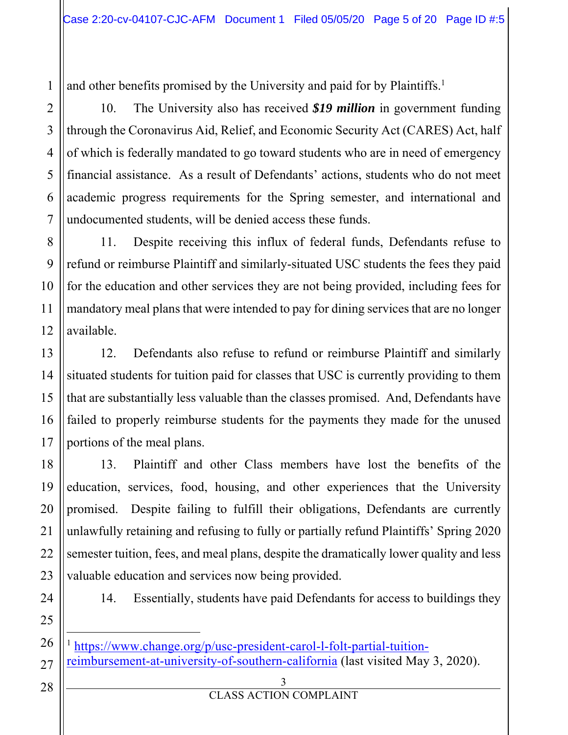1 and other benefits promised by the University and paid for by Plaintiffs.<sup>1</sup>

10. The University also has received *\$19 million* in government funding through the Coronavirus Aid, Relief, and Economic Security Act (CARES) Act, half of which is federally mandated to go toward students who are in need of emergency financial assistance. As a result of Defendants' actions, students who do not meet academic progress requirements for the Spring semester, and international and undocumented students, will be denied access these funds.

8 9 10 12 11. Despite receiving this influx of federal funds, Defendants refuse to refund or reimburse Plaintiff and similarly-situated USC students the fees they paid for the education and other services they are not being provided, including fees for mandatory meal plans that were intended to pay for dining services that are no longer available.

12. Defendants also refuse to refund or reimburse Plaintiff and similarly situated students for tuition paid for classes that USC is currently providing to them that are substantially less valuable than the classes promised. And, Defendants have failed to properly reimburse students for the payments they made for the unused portions of the meal plans.

13. Plaintiff and other Class members have lost the benefits of the education, services, food, housing, and other experiences that the University promised. Despite failing to fulfill their obligations, Defendants are currently unlawfully retaining and refusing to fully or partially refund Plaintiffs' Spring 2020 semester tuition, fees, and meal plans, despite the dramatically lower quality and less valuable education and services now being provided.

24

2

3

4

5

6

7

11

13

14

15

16

17

18

19

20

21

22

23

25

14. Essentially, students have paid Defendants for access to buildings they

- 26 <sup>1</sup> https://www.change.org/p/usc-president-carol-l-folt-partial-tuition-
- 27 reimbursement-at-university-of-southern-california (last visited May 3, 2020).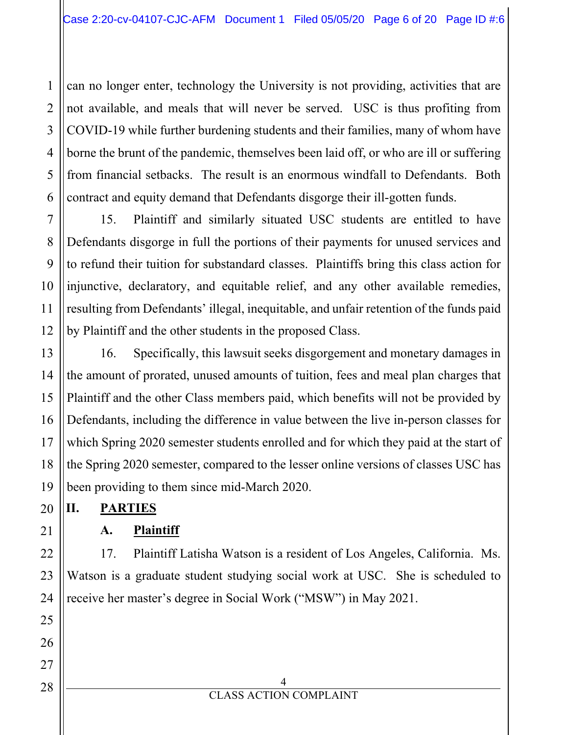1 2 can no longer enter, technology the University is not providing, activities that are not available, and meals that will never be served. USC is thus profiting from COVID-19 while further burdening students and their families, many of whom have borne the brunt of the pandemic, themselves been laid off, or who are ill or suffering from financial setbacks. The result is an enormous windfall to Defendants. Both contract and equity demand that Defendants disgorge their ill-gotten funds.

15. Plaintiff and similarly situated USC students are entitled to have Defendants disgorge in full the portions of their payments for unused services and to refund their tuition for substandard classes. Plaintiffs bring this class action for injunctive, declaratory, and equitable relief, and any other available remedies, resulting from Defendants' illegal, inequitable, and unfair retention of the funds paid by Plaintiff and the other students in the proposed Class.

16. Specifically, this lawsuit seeks disgorgement and monetary damages in the amount of prorated, unused amounts of tuition, fees and meal plan charges that Plaintiff and the other Class members paid, which benefits will not be provided by Defendants, including the difference in value between the live in-person classes for which Spring 2020 semester students enrolled and for which they paid at the start of the Spring 2020 semester, compared to the lesser online versions of classes USC has been providing to them since mid-March 2020.

**II. PARTIES** 

**A. Plaintiff** 

17. Plaintiff Latisha Watson is a resident of Los Angeles, California. Ms. Watson is a graduate student studying social work at USC. She is scheduled to receive her master's degree in Social Work ("MSW") in May 2021.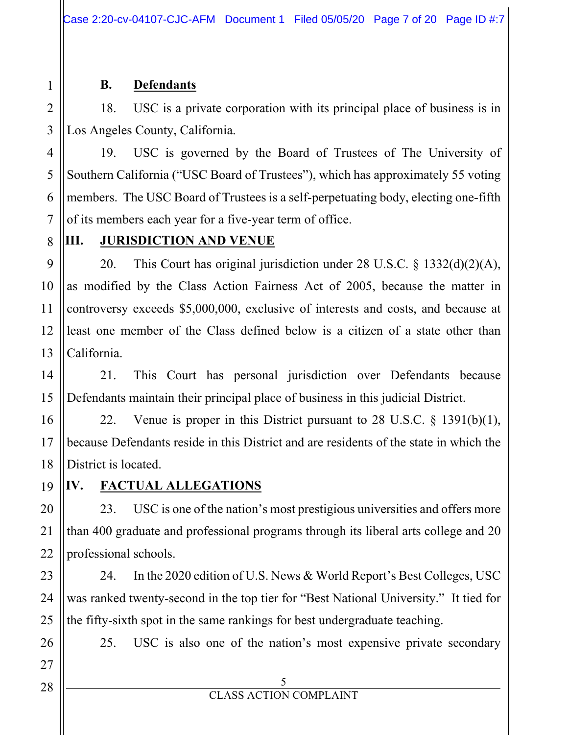## **B. Defendants**

18. USC is a private corporation with its principal place of business is in Los Angeles County, California.

19. USC is governed by the Board of Trustees of The University of Southern California ("USC Board of Trustees"), which has approximately 55 voting members. The USC Board of Trustees is a self-perpetuating body, electing one-fifth of its members each year for a five-year term of office.

8

9

10

11

12

13

14

15

16

17

18

19

20

21

22

23

24

25

26

27

28

1

2

3

4

5

6

7

## **III.** JURISDICTION AND VENUE

20. This Court has original jurisdiction under 28 U.S.C. § 1332(d)(2)(A), as modified by the Class Action Fairness Act of 2005, because the matter in controversy exceeds \$5,000,000, exclusive of interests and costs, and because at least one member of the Class defined below is a citizen of a state other than California.

21. This Court has personal jurisdiction over Defendants because Defendants maintain their principal place of business in this judicial District.

22. Venue is proper in this District pursuant to 28 U.S.C. § 1391(b)(1), because Defendants reside in this District and are residents of the state in which the District is located.

**IV. FACTUAL ALLEGATIONS** 

23. USC is one of the nation's most prestigious universities and offers more than 400 graduate and professional programs through its liberal arts college and 20 professional schools.

24. In the 2020 edition of U.S. News & World Report's Best Colleges, USC was ranked twenty-second in the top tier for "Best National University." It tied for the fifty-sixth spot in the same rankings for best undergraduate teaching.

25. USC is also one of the nation's most expensive private secondary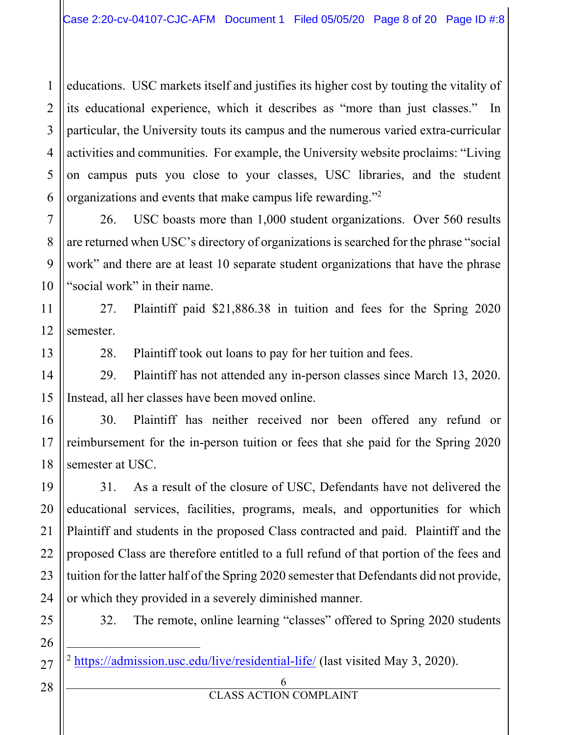1  $\mathcal{L}$ 3 4 5 6 educations. USC markets itself and justifies its higher cost by touting the vitality of its educational experience, which it describes as "more than just classes." In particular, the University touts its campus and the numerous varied extra-curricular activities and communities. For example, the University website proclaims: "Living on campus puts you close to your classes, USC libraries, and the student organizations and events that make campus life rewarding."2

26. USC boasts more than 1,000 student organizations. Over 560 results are returned when USC's directory of organizations is searched for the phrase "social work" and there are at least 10 separate student organizations that have the phrase "social work" in their name.

11 12 27. Plaintiff paid \$21,886.38 in tuition and fees for the Spring 2020 semester.

28. Plaintiff took out loans to pay for her tuition and fees.

29. Plaintiff has not attended any in-person classes since March 13, 2020. Instead, all her classes have been moved online.

30. Plaintiff has neither received nor been offered any refund or reimbursement for the in-person tuition or fees that she paid for the Spring 2020 semester at USC.

31. As a result of the closure of USC, Defendants have not delivered the educational services, facilities, programs, meals, and opportunities for which Plaintiff and students in the proposed Class contracted and paid. Plaintiff and the proposed Class are therefore entitled to a full refund of that portion of the fees and tuition for the latter half of the Spring 2020 semester that Defendants did not provide, or which they provided in a severely diminished manner.

32. The remote, online learning "classes" offered to Spring 2020 students

<sup>2</sup> https://admission.usc.edu/live/residential-life/ (last visited May 3, 2020).

6

7

8

9

10

13

14

15

16

17

18

19

20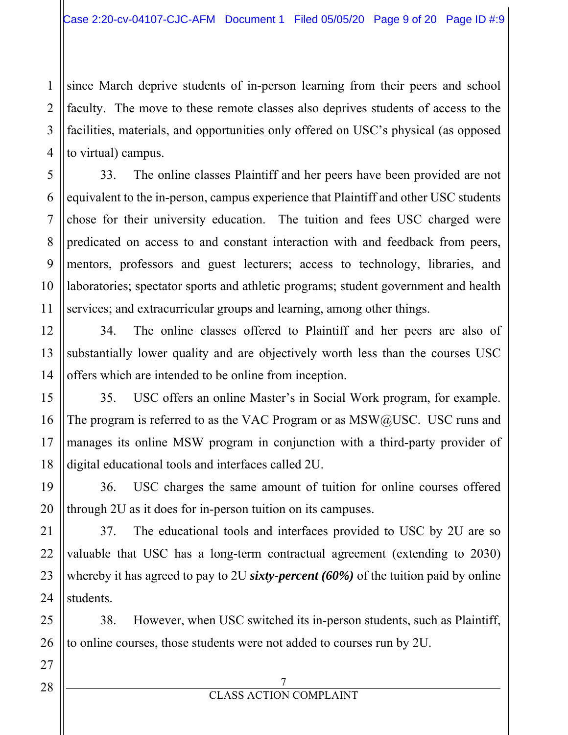since March deprive students of in-person learning from their peers and school faculty. The move to these remote classes also deprives students of access to the facilities, materials, and opportunities only offered on USC's physical (as opposed to virtual) campus.

33. The online classes Plaintiff and her peers have been provided are not equivalent to the in-person, campus experience that Plaintiff and other USC students chose for their university education. The tuition and fees USC charged were predicated on access to and constant interaction with and feedback from peers, mentors, professors and guest lecturers; access to technology, libraries, and laboratories; spectator sports and athletic programs; student government and health services; and extracurricular groups and learning, among other things.

34. The online classes offered to Plaintiff and her peers are also of substantially lower quality and are objectively worth less than the courses USC offers which are intended to be online from inception.

35. USC offers an online Master's in Social Work program, for example. The program is referred to as the VAC Program or as  $MSW@/USC$ . USC runs and manages its online MSW program in conjunction with a third-party provider of digital educational tools and interfaces called 2U.

36. USC charges the same amount of tuition for online courses offered through 2U as it does for in-person tuition on its campuses.

37. The educational tools and interfaces provided to USC by 2U are so valuable that USC has a long-term contractual agreement (extending to 2030) whereby it has agreed to pay to 2U *sixty-percent (60%)* of the tuition paid by online students.

38. However, when USC switched its in-person students, such as Plaintiff, to online courses, those students were not added to courses run by 2U.

7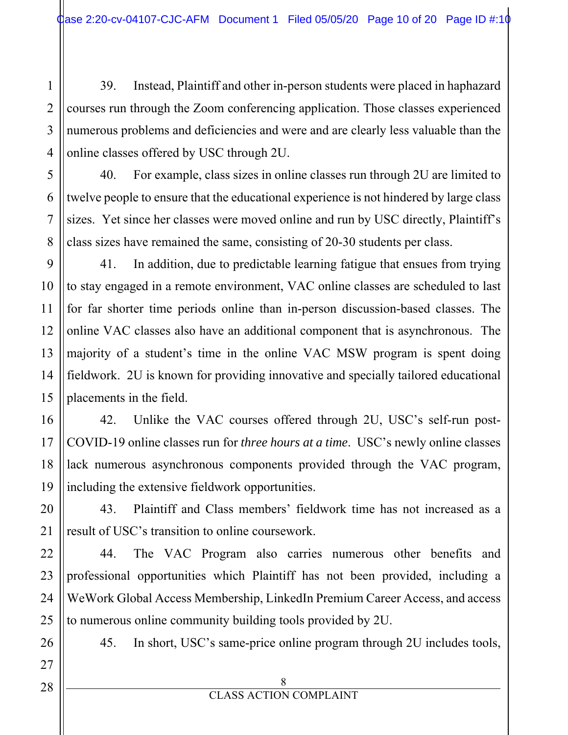2 3 4 39. Instead, Plaintiff and other in-person students were placed in haphazard courses run through the Zoom conferencing application. Those classes experienced numerous problems and deficiencies and were and are clearly less valuable than the online classes offered by USC through 2U.

40. For example, class sizes in online classes run through 2U are limited to twelve people to ensure that the educational experience is not hindered by large class sizes. Yet since her classes were moved online and run by USC directly, Plaintiff's class sizes have remained the same, consisting of 20-30 students per class.

41. In addition, due to predictable learning fatigue that ensues from trying to stay engaged in a remote environment, VAC online classes are scheduled to last for far shorter time periods online than in-person discussion-based classes. The online VAC classes also have an additional component that is asynchronous. The majority of a student's time in the online VAC MSW program is spent doing fieldwork. 2U is known for providing innovative and specially tailored educational placements in the field.

42. Unlike the VAC courses offered through 2U, USC's self-run post-COVID-19 online classes run for *three hours at a time*. USC's newly online classes lack numerous asynchronous components provided through the VAC program, including the extensive fieldwork opportunities.

43. Plaintiff and Class members' fieldwork time has not increased as a result of USC's transition to online coursework.

44. The VAC Program also carries numerous other benefits and professional opportunities which Plaintiff has not been provided, including a WeWork Global Access Membership, LinkedIn Premium Career Access, and access to numerous online community building tools provided by 2U.

45. In short, USC's same-price online program through 2U includes tools,

1

5

6

7

8

9

10

11

12

13

14

15

16

17

18

19

20

21

22

23

24

25

26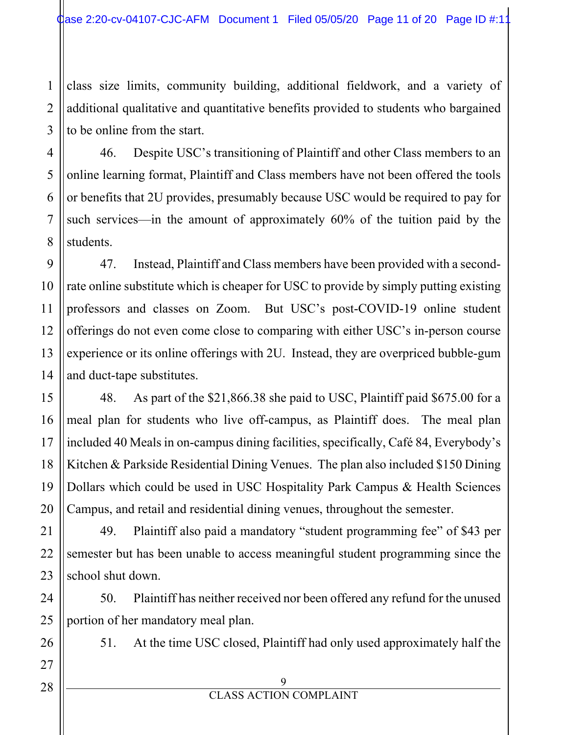1 2 3 class size limits, community building, additional fieldwork, and a variety of additional qualitative and quantitative benefits provided to students who bargained to be online from the start.

46. Despite USC's transitioning of Plaintiff and other Class members to an online learning format, Plaintiff and Class members have not been offered the tools or benefits that 2U provides, presumably because USC would be required to pay for such services—in the amount of approximately 60% of the tuition paid by the students.

47. Instead, Plaintiff and Class members have been provided with a secondrate online substitute which is cheaper for USC to provide by simply putting existing professors and classes on Zoom. But USC's post-COVID-19 online student offerings do not even come close to comparing with either USC's in-person course experience or its online offerings with 2U. Instead, they are overpriced bubble-gum and duct-tape substitutes.

48. As part of the \$21,866.38 she paid to USC, Plaintiff paid \$675.00 for a meal plan for students who live off-campus, as Plaintiff does. The meal plan included 40 Meals in on-campus dining facilities, specifically, Café 84, Everybody's Kitchen & Parkside Residential Dining Venues. The plan also included \$150 Dining Dollars which could be used in USC Hospitality Park Campus & Health Sciences Campus, and retail and residential dining venues, throughout the semester.

49. Plaintiff also paid a mandatory "student programming fee" of \$43 per semester but has been unable to access meaningful student programming since the school shut down.

50. Plaintiff has neither received nor been offered any refund for the unused portion of her mandatory meal plan.

51. At the time USC closed, Plaintiff had only used approximately half the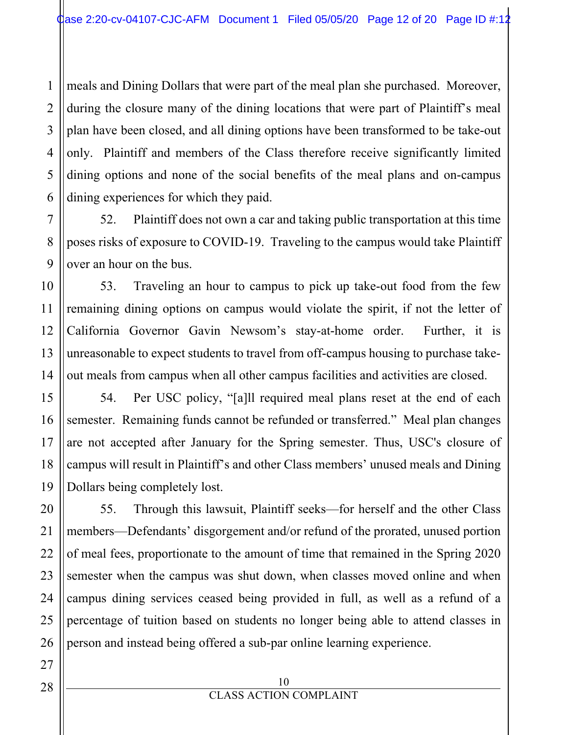1 2 3 meals and Dining Dollars that were part of the meal plan she purchased. Moreover, during the closure many of the dining locations that were part of Plaintiff's meal plan have been closed, and all dining options have been transformed to be take-out only. Plaintiff and members of the Class therefore receive significantly limited dining options and none of the social benefits of the meal plans and on-campus dining experiences for which they paid.

52. Plaintiff does not own a car and taking public transportation at this time poses risks of exposure to COVID-19. Traveling to the campus would take Plaintiff over an hour on the bus.

53. Traveling an hour to campus to pick up take-out food from the few remaining dining options on campus would violate the spirit, if not the letter of California Governor Gavin Newsom's stay-at-home order. Further, it is unreasonable to expect students to travel from off-campus housing to purchase takeout meals from campus when all other campus facilities and activities are closed.

54. Per USC policy, "[a]ll required meal plans reset at the end of each semester. Remaining funds cannot be refunded or transferred." Meal plan changes are not accepted after January for the Spring semester. Thus, USC's closure of campus will result in Plaintiff's and other Class members' unused meals and Dining Dollars being completely lost.

55. Through this lawsuit, Plaintiff seeks—for herself and the other Class members—Defendants' disgorgement and/or refund of the prorated, unused portion of meal fees, proportionate to the amount of time that remained in the Spring 2020 semester when the campus was shut down, when classes moved online and when campus dining services ceased being provided in full, as well as a refund of a percentage of tuition based on students no longer being able to attend classes in person and instead being offered a sub-par online learning experience.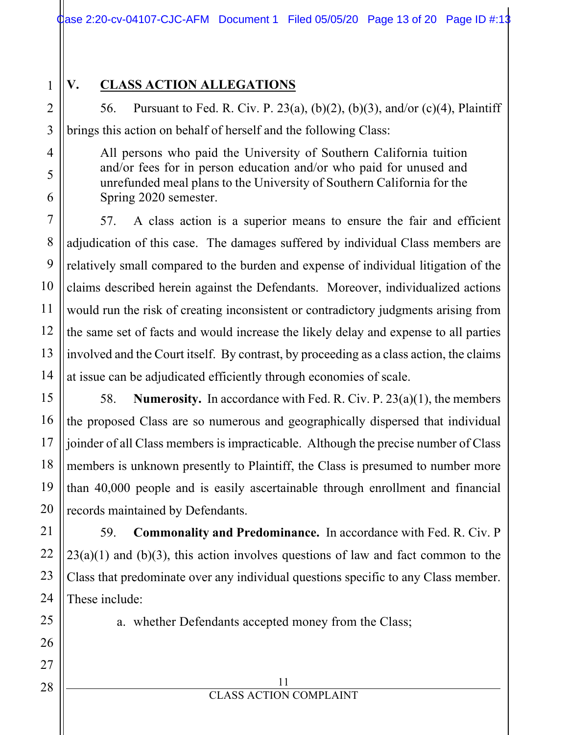# 1

# **V. CLASS ACTION ALLEGATIONS**

56. Pursuant to Fed. R. Civ. P. 23(a), (b)(2), (b)(3), and/or (c)(4), Plaintiff brings this action on behalf of herself and the following Class:

All persons who paid the University of Southern California tuition and/or fees for in person education and/or who paid for unused and unrefunded meal plans to the University of Southern California for the Spring 2020 semester.

57. A class action is a superior means to ensure the fair and efficient adjudication of this case. The damages suffered by individual Class members are relatively small compared to the burden and expense of individual litigation of the claims described herein against the Defendants. Moreover, individualized actions would run the risk of creating inconsistent or contradictory judgments arising from the same set of facts and would increase the likely delay and expense to all parties involved and the Court itself. By contrast, by proceeding as a class action, the claims at issue can be adjudicated efficiently through economies of scale.

58. **Numerosity.** In accordance with Fed. R. Civ. P. 23(a)(1), the members the proposed Class are so numerous and geographically dispersed that individual joinder of all Class members is impracticable. Although the precise number of Class members is unknown presently to Plaintiff, the Class is presumed to number more than 40,000 people and is easily ascertainable through enrollment and financial records maintained by Defendants.

59. **Commonality and Predominance.** In accordance with Fed. R. Civ. P  $23(a)(1)$  and (b)(3), this action involves questions of law and fact common to the Class that predominate over any individual questions specific to any Class member. These include:

a. whether Defendants accepted money from the Class;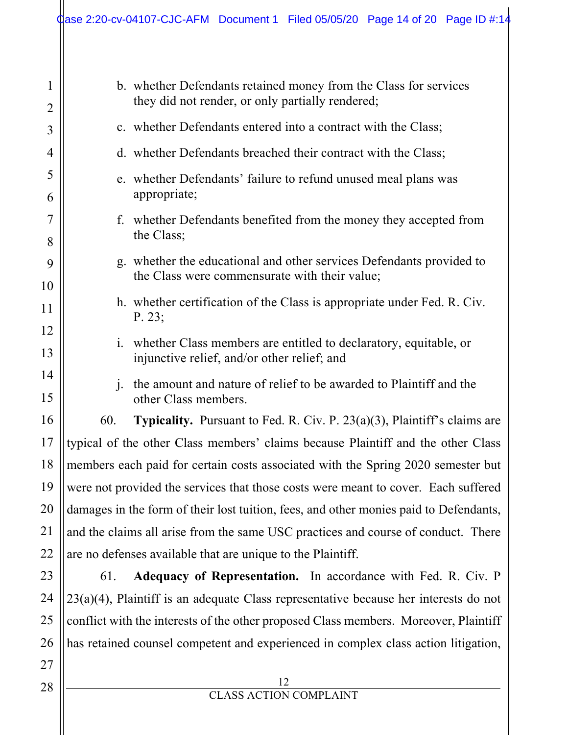| $\mathbf{1}$<br>$\overline{2}$ | b. whether Defendants retained money from the Class for services<br>they did not render, or only partially rendered;  |                                                                                                                 |  |
|--------------------------------|-----------------------------------------------------------------------------------------------------------------------|-----------------------------------------------------------------------------------------------------------------|--|
| 3                              | c. whether Defendants entered into a contract with the Class;                                                         |                                                                                                                 |  |
| 4                              | d. whether Defendants breached their contract with the Class;                                                         |                                                                                                                 |  |
| 5<br>6                         |                                                                                                                       | e. whether Defendants' failure to refund unused meal plans was<br>appropriate;                                  |  |
| 7<br>8                         | f. whether Defendants benefited from the money they accepted from<br>the Class;                                       |                                                                                                                 |  |
| 9                              | g. whether the educational and other services Defendants provided to<br>the Class were commensurate with their value; |                                                                                                                 |  |
| 10<br>11                       | h. whether certification of the Class is appropriate under Fed. R. Civ.<br>P. 23;                                     |                                                                                                                 |  |
| 12<br>13                       | $\mathbf{1}$ .                                                                                                        | whether Class members are entitled to declaratory, equitable, or<br>injunctive relief, and/or other relief; and |  |
| 14<br>15                       | the amount and nature of relief to be awarded to Plaintiff and the<br>$\mathbf{1}$ .<br>other Class members.          |                                                                                                                 |  |
| 16                             | 60.                                                                                                                   | <b>Typicality.</b> Pursuant to Fed. R. Civ. P. $23(a)(3)$ , Plaintiff's claims are                              |  |
| 17                             | typical of the other Class members' claims because Plaintiff and the other Class                                      |                                                                                                                 |  |
| 18                             | members each paid for certain costs associated with the Spring 2020 semester but                                      |                                                                                                                 |  |
| 19                             | were not provided the services that those costs were meant to cover. Each suffered                                    |                                                                                                                 |  |
| <b>20</b>                      | damages in the form of their lost tuition, fees, and other monies paid to Defendants,                                 |                                                                                                                 |  |
| 21                             | and the claims all arise from the same USC practices and course of conduct. There                                     |                                                                                                                 |  |
| 22                             | are no defenses available that are unique to the Plaintiff.                                                           |                                                                                                                 |  |
| 23                             | 61.                                                                                                                   | Adequacy of Representation. In accordance with Fed. R. Civ. P                                                   |  |
| 24                             | $23(a)(4)$ , Plaintiff is an adequate Class representative because her interests do not                               |                                                                                                                 |  |
| 25                             | conflict with the interests of the other proposed Class members. Moreover, Plaintiff                                  |                                                                                                                 |  |
| 26                             | has retained counsel competent and experienced in complex class action litigation,                                    |                                                                                                                 |  |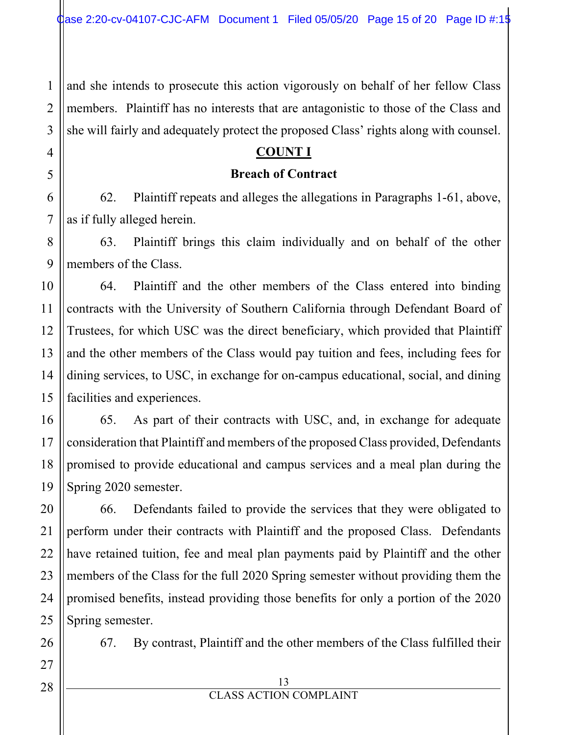and she intends to prosecute this action vigorously on behalf of her fellow Class members. Plaintiff has no interests that are antagonistic to those of the Class and she will fairly and adequately protect the proposed Class' rights along with counsel.

## **COUNT I**

#### **Breach of Contract**

62. Plaintiff repeats and alleges the allegations in Paragraphs 1-61, above, as if fully alleged herein.

63. Plaintiff brings this claim individually and on behalf of the other members of the Class.

64. Plaintiff and the other members of the Class entered into binding contracts with the University of Southern California through Defendant Board of Trustees, for which USC was the direct beneficiary, which provided that Plaintiff and the other members of the Class would pay tuition and fees, including fees for dining services, to USC, in exchange for on-campus educational, social, and dining facilities and experiences.

65. As part of their contracts with USC, and, in exchange for adequate consideration that Plaintiff and members of the proposed Class provided, Defendants promised to provide educational and campus services and a meal plan during the Spring 2020 semester.

66. Defendants failed to provide the services that they were obligated to perform under their contracts with Plaintiff and the proposed Class. Defendants have retained tuition, fee and meal plan payments paid by Plaintiff and the other members of the Class for the full 2020 Spring semester without providing them the promised benefits, instead providing those benefits for only a portion of the 2020 Spring semester.

67. By contrast, Plaintiff and the other members of the Class fulfilled their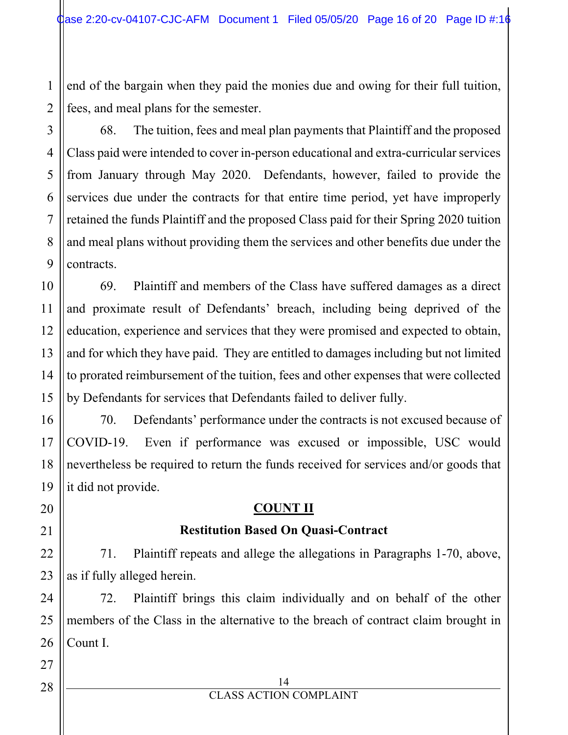1 2 end of the bargain when they paid the monies due and owing for their full tuition, fees, and meal plans for the semester.

68. The tuition, fees and meal plan payments that Plaintiff and the proposed Class paid were intended to cover in-person educational and extra-curricular services from January through May 2020. Defendants, however, failed to provide the services due under the contracts for that entire time period, yet have improperly retained the funds Plaintiff and the proposed Class paid for their Spring 2020 tuition and meal plans without providing them the services and other benefits due under the contracts.

69. Plaintiff and members of the Class have suffered damages as a direct and proximate result of Defendants' breach, including being deprived of the education, experience and services that they were promised and expected to obtain, and for which they have paid. They are entitled to damages including but not limited to prorated reimbursement of the tuition, fees and other expenses that were collected by Defendants for services that Defendants failed to deliver fully.

70. Defendants' performance under the contracts is not excused because of COVID-19. Even if performance was excused or impossible, USC would nevertheless be required to return the funds received for services and/or goods that it did not provide.

# **COUNT II**

## **Restitution Based On Quasi-Contract**

71. Plaintiff repeats and allege the allegations in Paragraphs 1-70, above, as if fully alleged herein.

72. Plaintiff brings this claim individually and on behalf of the other members of the Class in the alternative to the breach of contract claim brought in Count I.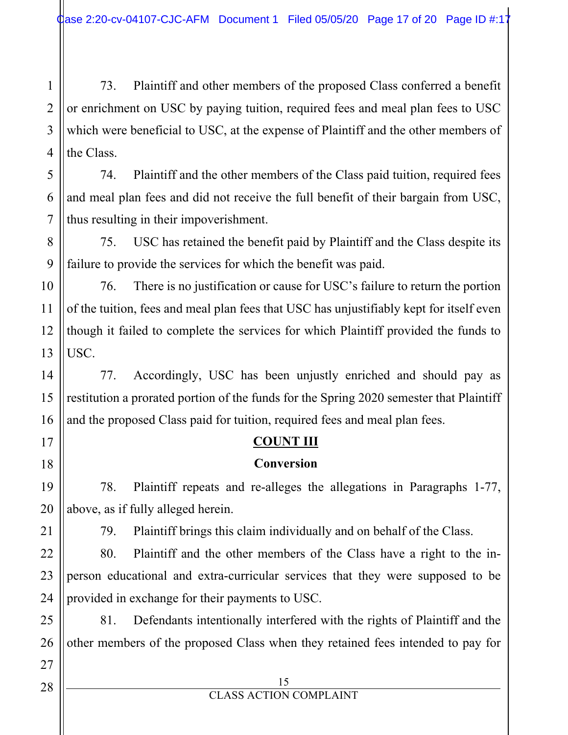1 2 3 4 73. Plaintiff and other members of the proposed Class conferred a benefit or enrichment on USC by paying tuition, required fees and meal plan fees to USC which were beneficial to USC, at the expense of Plaintiff and the other members of the Class.

74. Plaintiff and the other members of the Class paid tuition, required fees and meal plan fees and did not receive the full benefit of their bargain from USC, thus resulting in their impoverishment.

75. USC has retained the benefit paid by Plaintiff and the Class despite its failure to provide the services for which the benefit was paid.

10 76. There is no justification or cause for USC's failure to return the portion of the tuition, fees and meal plan fees that USC has unjustifiably kept for itself even though it failed to complete the services for which Plaintiff provided the funds to USC.

77. Accordingly, USC has been unjustly enriched and should pay as restitution a prorated portion of the funds for the Spring 2020 semester that Plaintiff and the proposed Class paid for tuition, required fees and meal plan fees.

# **COUNT III**

## **Conversion**

78. Plaintiff repeats and re-alleges the allegations in Paragraphs 1-77, above, as if fully alleged herein.

79. Plaintiff brings this claim individually and on behalf of the Class.

80. Plaintiff and the other members of the Class have a right to the inperson educational and extra-curricular services that they were supposed to be provided in exchange for their payments to USC.

81. Defendants intentionally interfered with the rights of Plaintiff and the other members of the proposed Class when they retained fees intended to pay for

5

6

7

8

9

11

12

13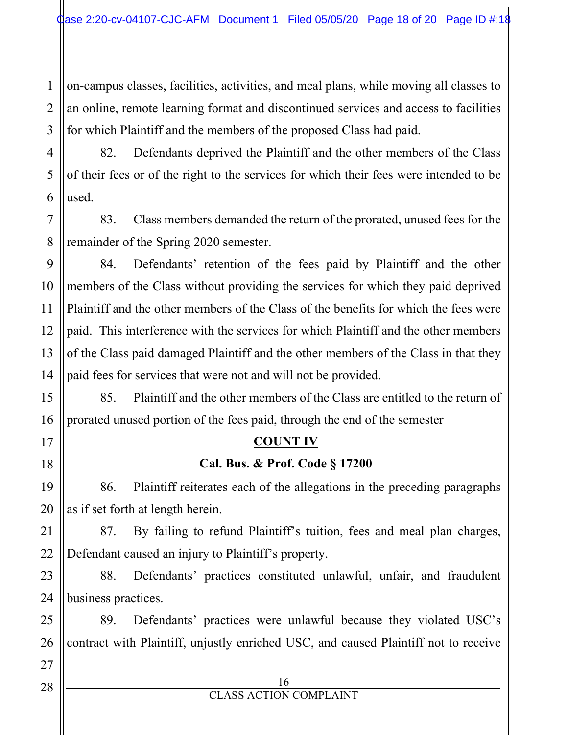1 2 on-campus classes, facilities, activities, and meal plans, while moving all classes to an online, remote learning format and discontinued services and access to facilities for which Plaintiff and the members of the proposed Class had paid.

82. Defendants deprived the Plaintiff and the other members of the Class of their fees or of the right to the services for which their fees were intended to be used.

83. Class members demanded the return of the prorated, unused fees for the remainder of the Spring 2020 semester.

84. Defendants' retention of the fees paid by Plaintiff and the other members of the Class without providing the services for which they paid deprived Plaintiff and the other members of the Class of the benefits for which the fees were paid. This interference with the services for which Plaintiff and the other members of the Class paid damaged Plaintiff and the other members of the Class in that they paid fees for services that were not and will not be provided.

85. Plaintiff and the other members of the Class are entitled to the return of prorated unused portion of the fees paid, through the end of the semester

## **COUNT IV**

## **Cal. Bus. & Prof. Code § 17200**

86. Plaintiff reiterates each of the allegations in the preceding paragraphs as if set forth at length herein.

87. By failing to refund Plaintiff's tuition, fees and meal plan charges, Defendant caused an injury to Plaintiff's property.

88. Defendants' practices constituted unlawful, unfair, and fraudulent business practices.

89. Defendants' practices were unlawful because they violated USC's contract with Plaintiff, unjustly enriched USC, and caused Plaintiff not to receive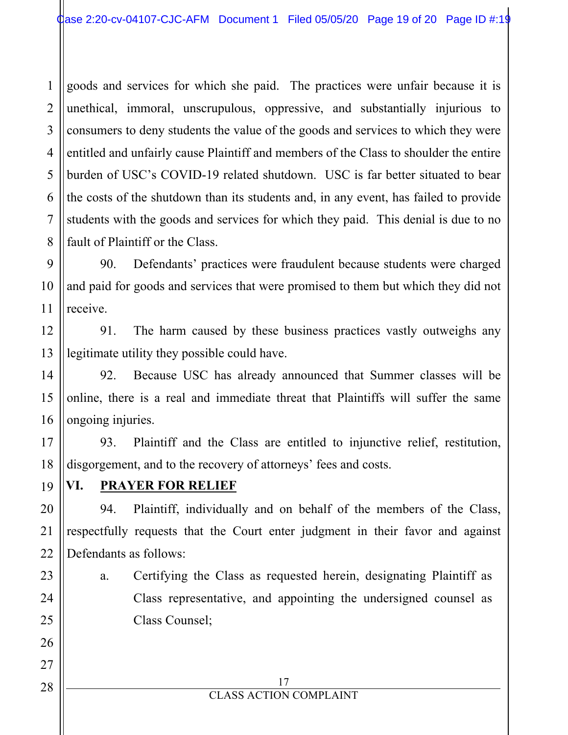1 2 3 4 5 6 7 8 goods and services for which she paid. The practices were unfair because it is unethical, immoral, unscrupulous, oppressive, and substantially injurious to consumers to deny students the value of the goods and services to which they were entitled and unfairly cause Plaintiff and members of the Class to shoulder the entire burden of USC's COVID-19 related shutdown. USC is far better situated to bear the costs of the shutdown than its students and, in any event, has failed to provide students with the goods and services for which they paid. This denial is due to no fault of Plaintiff or the Class.

90. Defendants' practices were fraudulent because students were charged and paid for goods and services that were promised to them but which they did not receive.

91. The harm caused by these business practices vastly outweighs any legitimate utility they possible could have.

92. Because USC has already announced that Summer classes will be online, there is a real and immediate threat that Plaintiffs will suffer the same ongoing injuries.

93. Plaintiff and the Class are entitled to injunctive relief, restitution, disgorgement, and to the recovery of attorneys' fees and costs.

# **VI. PRAYER FOR RELIEF**

94. Plaintiff, individually and on behalf of the members of the Class, respectfully requests that the Court enter judgment in their favor and against Defendants as follows:

a. Certifying the Class as requested herein, designating Plaintiff as Class representative, and appointing the undersigned counsel as Class Counsel;